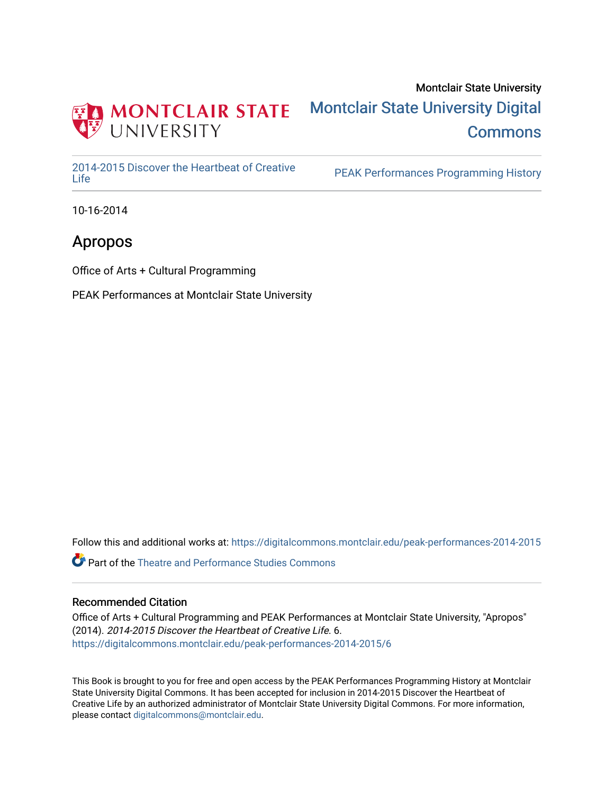

### Montclair State University [Montclair State University Digital](https://digitalcommons.montclair.edu/)  **Commons**

[2014-2015 Discover the Heartbeat of Creative](https://digitalcommons.montclair.edu/peak-performances-2014-2015) 

PEAK Performances Programming History

10-16-2014

### Apropos

Office of Arts + Cultural Programming

PEAK Performances at Montclair State University

Follow this and additional works at: [https://digitalcommons.montclair.edu/peak-performances-2014-2015](https://digitalcommons.montclair.edu/peak-performances-2014-2015?utm_source=digitalcommons.montclair.edu%2Fpeak-performances-2014-2015%2F6&utm_medium=PDF&utm_campaign=PDFCoverPages) 

Part of the [Theatre and Performance Studies Commons](http://network.bepress.com/hgg/discipline/552?utm_source=digitalcommons.montclair.edu%2Fpeak-performances-2014-2015%2F6&utm_medium=PDF&utm_campaign=PDFCoverPages) 

#### Recommended Citation

Office of Arts + Cultural Programming and PEAK Performances at Montclair State University, "Apropos" (2014). 2014-2015 Discover the Heartbeat of Creative Life. 6. [https://digitalcommons.montclair.edu/peak-performances-2014-2015/6](https://digitalcommons.montclair.edu/peak-performances-2014-2015/6?utm_source=digitalcommons.montclair.edu%2Fpeak-performances-2014-2015%2F6&utm_medium=PDF&utm_campaign=PDFCoverPages) 

This Book is brought to you for free and open access by the PEAK Performances Programming History at Montclair State University Digital Commons. It has been accepted for inclusion in 2014-2015 Discover the Heartbeat of Creative Life by an authorized administrator of Montclair State University Digital Commons. For more information, please contact [digitalcommons@montclair.edu.](mailto:digitalcommons@montclair.edu)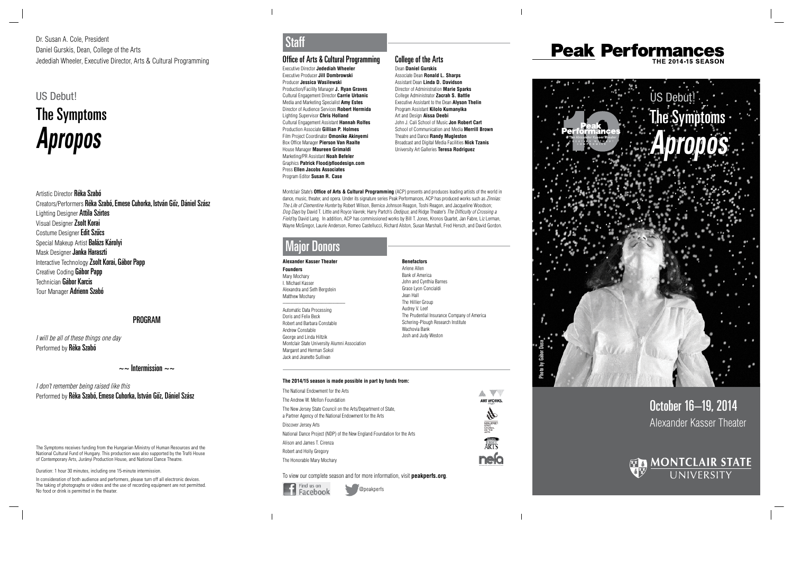October 16–19, 2014 Alexander Kasser Theater



#### Office of Arts & Cultural Programming

Executive Director **Jedediah Wheeler** Executive Producer **Jill Dombrowski** Producer **Jessica Wasilewski** Production/Facility Manager **J. Ryan Graves** Cultural Engagement Director **Carrie Urbanic** Media and Marketing Specialist **Amy Estes** Director of Audience Services **Robert Hermida** Lighting Supervisor **Chris Holland** Cultural Engagement Assistant **Hannah Rolfes**  Production Associate **Gillian P. Holmes**  Film Project Coordinator **Omonike Akinyemi** Box Office Manager **Pierson Van Raalte** House Manager **Maureen Grimaldi** Marketing/PR Assistant **Noah Befeler** Graphics **Patrick Flood/pfloodesign.com** Press **Ellen Jacobs Associates** Program Editor **Susan R. Case**



Montclair State's **Office of Arts & Cultural Programming** (ACP) presents and produces leading artists of the world in dance, music, theater, and opera. Under its signature series Peak Performances, ACP has produced works such as Zinnias: The Life of Clementine Hunter by Robert Wilson, Bernice Johnson Reagon, Toshi Reagon, and Jacqueline Woodson; Dog Days by David T. Little and Royce Vavrek; Harry Partch's Oedipus; and Ridge Theater's The Difficulty of Crossing a Field by David Lang. In addition, ACP has commissioned works by Bill T. Jones, Kronos Quartet, Jan Fabre, Liz Lerman, Wayne McGregor, Laurie Anderson, Romeo Castellucci, Richard Alston, Susan Marshall, Fred Hersch, and David Gordon.

### **Major Donors**

Artistic Director Réka Szabó Creators/Performers Réka Szabó, Emese Cuhorka, István Gőz, Dániel Szász Lighting Designer Attila Szirtes Visual Designer Zsolt Korai Costume Designer Edit Szúcs Special Makeup Artist Balázs Károlyi Mask Designer Janka Haraszti Interactive Technology Zsolt Korai, Gábor Papp Creative Coding Gábor Papp Technician Gábor Karcis Tour Manager Adrienn Szabó

I will be all of these things one day Performed by Réka Szabó

 $\sim$  Intermission  $\sim$ 

I don't remember being raised like this Performed by Réka Szabó, Emese Cuhorka, István Gőz, Dániel Szász

@peakperfs

Q

### **Peak Performances** THE 2014-15 SEASON

## Staff

#### **Alexander Kasser Theater Founders**

Mary Mochary I. Michael Kasser Alexandra and Seth Bergstein Matthew Mochary \_\_\_\_\_\_\_\_\_\_\_\_\_\_\_\_\_\_\_\_\_\_\_\_

Automatic Data Processing Doris and Felix Beck Robert and Barbara Constable Andrew Constable George and Linda Hiltzik Montclair State University Alumni Association Margaret and Herman Sokol Jack and Jeanette Sullivan

**Benefactors** Arlene Allen Bank of America John and Cynthia Barnes Grace Lyon Concialdi Jean Hall The Hillier Group Audrey V. Leef The Prudential Insurance Company of America Schering-Plough Research Institute Wachovia Bank Josh and Judy Weston

Dr. Susan A. Cole, President Daniel Gurskis, Dean, College of the Arts Jedediah Wheeler, Executive Director, Arts & Cultural Programming

### US Debut!

# The Symptoms **Apropos**

#### PROGRAM

The Symptoms receives funding from the Hungarian Ministry of Human Resources and the National Cultural Fund of Hungary. This production was also supported by the Trafó House of Contemporary Arts, Jurányi Production House, and National Dance Theatre.

Duration: 1 hour 30 minutes, including one 15-minute intermission.

In consideration of both audience and performers, please turn off all electronic devices. The taking of photographs or videos and the use of recording equipment are not permitted. No food or drink is permitted in the theater.

#### **The 2014/15 season is made possible in part by funds from:**

| The National Endowment for the Arts                                                                                      |                                |
|--------------------------------------------------------------------------------------------------------------------------|--------------------------------|
| The Andrew W. Mellon Foundation                                                                                          | ART WORKS.                     |
| The New Jersey State Council on the Arts/Department of State,<br>a Partner Agency of the National Endowment for the Arts |                                |
| Discover Jersey Arts                                                                                                     | state<br>Council               |
| National Dance Project (NDP) of the New England Foundation for the Arts                                                  | <b>ON THE</b><br><b>MEYTIG</b> |
| Alison and James T. Cirenza                                                                                              |                                |
| Robert and Holly Gregory                                                                                                 |                                |
| The Honorable Mary Mochary                                                                                               |                                |

To view our complete season and for more information, visit **peakperfs.org** .

 $\overline{\phantom{a}}$ 

### College of the Arts

Dean **Daniel Gurskis** Associate Dean **Ronald L. Sharps** Assistant Dean **Linda D. Davidson** Director of Administration **Marie Sparks** College Administrator **Zacrah S. Battle** Executive Assistant to the Dean **Alyson Thelin** Program Assistant **Kilolo Kumanyika** Art and Design **Aissa Deebi** John J. Cali School of Music **Jon Robert Cart** School of Communication and Media **Merrill Brown** Theatre and Dance **Randy Mugleston** Broadcast and Digital Media Facilities **Nick Tzanis** University Art Galleries **Teresa Rodriguez**